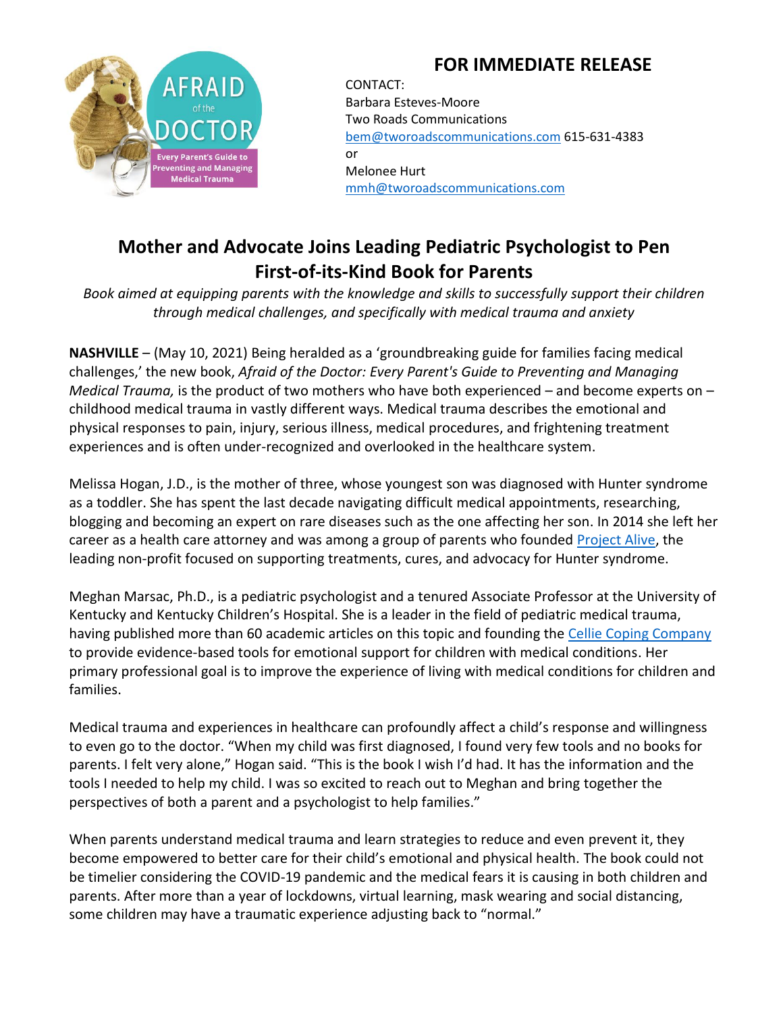## **FOR IMMEDIATE RELEASE**



CONTACT: Barbara Esteves-Moore Two Roads Communications [bem@tworoadscommunications.com](mailto:bem@tworoadscommunications.com) 615-631-4383 or Melonee Hurt [mmh@tworoadscommunications.com](mailto:mmh@tworoadscommunications.com)

## **Mother and Advocate Joins Leading Pediatric Psychologist to Pen First-of-its-Kind Book for Parents**

*Book aimed at equipping parents with the knowledge and skills to successfully support their children through medical challenges, and specifically with medical trauma and anxiety*

**NASHVILLE** – (May 10, 2021) Being heralded as a 'groundbreaking guide for families facing medical challenges,' the new book, *Afraid of the Doctor: Every Parent's Guide to Preventing and Managing Medical Trauma,* is the product of two mothers who have both experienced – and become experts on – childhood medical trauma in vastly different ways. Medical trauma describes the emotional and physical responses to pain, injury, serious illness, medical procedures, and frightening treatment experiences and is often under-recognized and overlooked in the healthcare system.

Melissa Hogan, J.D., is the mother of three, whose youngest son was diagnosed with Hunter syndrome as a toddler. She has spent the last decade navigating difficult medical appointments, researching, blogging and becoming an expert on rare diseases such as the one affecting her son. In 2014 she left her career as a health care attorney and was among a group of parents who founded [Project Alive,](http://www.projectalive.org/) the leading non-profit focused on supporting treatments, cures, and advocacy for Hunter syndrome.

Meghan Marsac, Ph.D., is a pediatric psychologist and a tenured Associate Professor at the University of Kentucky and Kentucky Children's Hospital. She is a leader in the field of pediatric medical trauma, having published more than 60 academic articles on this topic and founding the [Cellie Coping Company](https://www.celliecopingcompany.com/) to provide evidence-based tools for emotional support for children with medical conditions. Her primary professional goal is to improve the experience of living with medical conditions for children and families.

Medical trauma and experiences in healthcare can profoundly affect a child's response and willingness to even go to the doctor. "When my child was first diagnosed, I found very few tools and no books for parents. I felt very alone," Hogan said. "This is the book I wish I'd had. It has the information and the tools I needed to help my child. I was so excited to reach out to Meghan and bring together the perspectives of both a parent and a psychologist to help families."

When parents understand medical trauma and learn strategies to reduce and even prevent it, they become empowered to better care for their child's emotional and physical health. The book could not be timelier considering the COVID-19 pandemic and the medical fears it is causing in both children and parents. After more than a year of lockdowns, virtual learning, mask wearing and social distancing, some children may have a traumatic experience adjusting back to "normal."